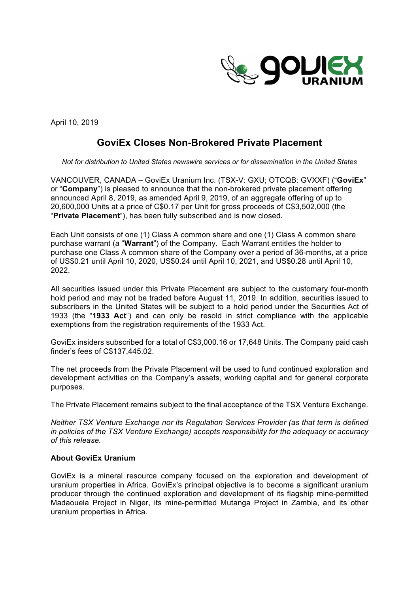

April 10, 2019

## **GoviEx Closes Non-Brokered Private Placement**

*Not for distribution to United States newswire services or for dissemination in the United States*

VANCOUVER, CANADA – GoviEx Uranium Inc. (TSX-V: GXU; OTCQB: GVXXF) ("**GoviEx**" or "**Company**") is pleased to announce that the non-brokered private placement offering announced April 8, 2019, as amended April 9, 2019, of an aggregate offering of up to 20,600,000 Units at a price of C\$0.17 per Unit for gross proceeds of C\$3,502,000 (the "**Private Placement**"), has been fully subscribed and is now closed.

Each Unit consists of one (1) Class A common share and one (1) Class A common share purchase warrant (a "**Warrant**") of the Company. Each Warrant entitles the holder to purchase one Class A common share of the Company over a period of 36-months, at a price of US\$0.21 until April 10, 2020, US\$0.24 until April 10, 2021, and US\$0.28 until April 10, 2022.

All securities issued under this Private Placement are subject to the customary four-month hold period and may not be traded before August 11, 2019. In addition, securities issued to subscribers in the United States will be subject to a hold period under the Securities Act of 1933 (the "**1933 Act**") and can only be resold in strict compliance with the applicable exemptions from the registration requirements of the 1933 Act.

GoviEx insiders subscribed for a total of C\$3,000.16 or 17,648 Units. The Company paid cash finder's fees of C\$137,445.02.

The net proceeds from the Private Placement will be used to fund continued exploration and development activities on the Company's assets, working capital and for general corporate purposes.

The Private Placement remains subject to the final acceptance of the TSX Venture Exchange.

*Neither TSX Venture Exchange nor its Regulation Services Provider (as that term is defined in policies of the TSX Venture Exchange) accepts responsibility for the adequacy or accuracy of this release.* 

## **About GoviEx Uranium**

GoviEx is a mineral resource company focused on the exploration and development of uranium properties in Africa. GoviEx's principal objective is to become a significant uranium producer through the continued exploration and development of its flagship mine-permitted Madaouela Project in Niger, its mine-permitted Mutanga Project in Zambia, and its other uranium properties in Africa.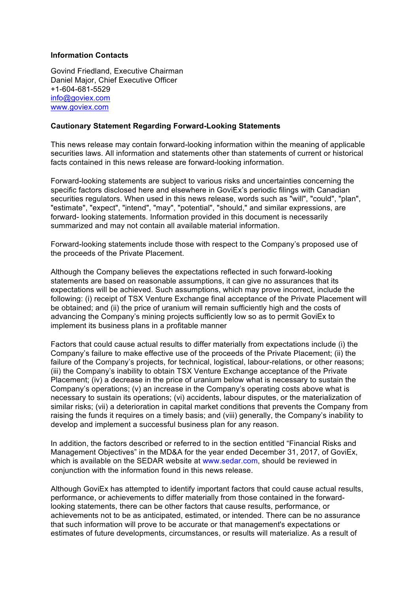## **Information Contacts**

Govind Friedland, Executive Chairman Daniel Major, Chief Executive Officer +1-604-681-5529 info@goviex.com www.goviex.com

## **Cautionary Statement Regarding Forward-Looking Statements**

This news release may contain forward-looking information within the meaning of applicable securities laws. All information and statements other than statements of current or historical facts contained in this news release are forward-looking information.

Forward-looking statements are subject to various risks and uncertainties concerning the specific factors disclosed here and elsewhere in GoviEx's periodic filings with Canadian securities regulators. When used in this news release, words such as "will", "could", "plan", "estimate", "expect", "intend", "may", "potential", "should," and similar expressions, are forward- looking statements. Information provided in this document is necessarily summarized and may not contain all available material information.

Forward-looking statements include those with respect to the Company's proposed use of the proceeds of the Private Placement.

Although the Company believes the expectations reflected in such forward-looking statements are based on reasonable assumptions, it can give no assurances that its expectations will be achieved. Such assumptions, which may prove incorrect, include the following: (i) receipt of TSX Venture Exchange final acceptance of the Private Placement will be obtained; and (ii) the price of uranium will remain sufficiently high and the costs of advancing the Company's mining projects sufficiently low so as to permit GoviEx to implement its business plans in a profitable manner

Factors that could cause actual results to differ materially from expectations include (i) the Company's failure to make effective use of the proceeds of the Private Placement; (ii) the failure of the Company's projects, for technical, logistical, labour-relations, or other reasons; (iii) the Company's inability to obtain TSX Venture Exchange acceptance of the Private Placement; (iv) a decrease in the price of uranium below what is necessary to sustain the Company's operations; (v) an increase in the Company's operating costs above what is necessary to sustain its operations; (vi) accidents, labour disputes, or the materialization of similar risks; (vii) a deterioration in capital market conditions that prevents the Company from raising the funds it requires on a timely basis; and (viii) generally, the Company's inability to develop and implement a successful business plan for any reason.

In addition, the factors described or referred to in the section entitled "Financial Risks and Management Objectives" in the MD&A for the year ended December 31, 2017, of GoviEx, which is available on the SEDAR website at www.sedar.com, should be reviewed in conjunction with the information found in this news release.

Although GoviEx has attempted to identify important factors that could cause actual results, performance, or achievements to differ materially from those contained in the forwardlooking statements, there can be other factors that cause results, performance, or achievements not to be as anticipated, estimated, or intended. There can be no assurance that such information will prove to be accurate or that management's expectations or estimates of future developments, circumstances, or results will materialize. As a result of